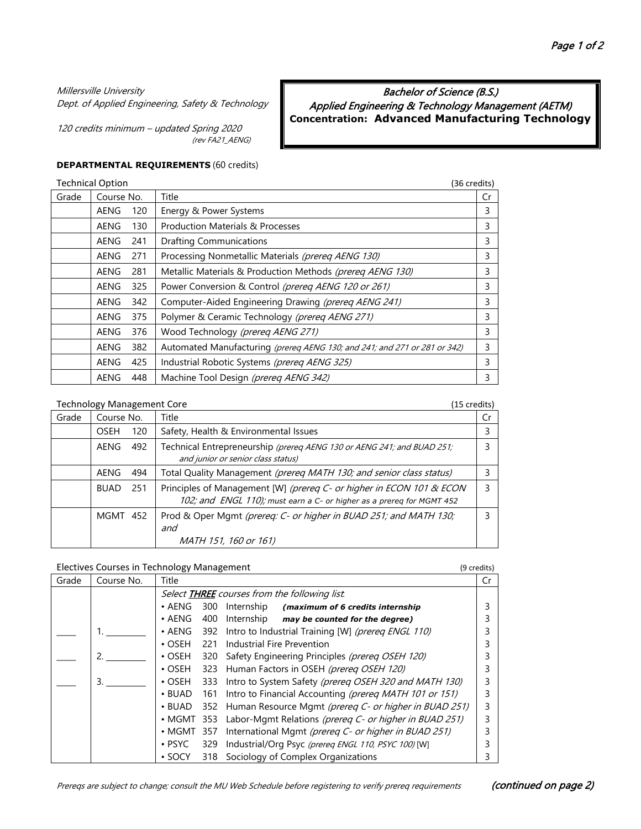#### Millersville University

Dept. of Applied Engineering, Safety & Technology

120 credits minimum – updated Spring 2020 (rev FA21\_AENG)

# Applied Engineering & Technology Management (AETM) **Concentration: Advanced Manufacturing Technology**

Bachelor of Science (B.S.)

#### **DEPARTMENTAL REQUIREMENTS** (60 credits)

| <b>Technical Option</b> |             |     |                                                                           |    |  |
|-------------------------|-------------|-----|---------------------------------------------------------------------------|----|--|
| Grade                   | Course No.  |     | Title                                                                     | Cr |  |
|                         | AENG        | 120 | Energy & Power Systems                                                    | 3  |  |
|                         | AENG        | 130 | <b>Production Materials &amp; Processes</b>                               | 3  |  |
|                         | AENG        | 241 | <b>Drafting Communications</b>                                            | 3  |  |
|                         | AENG        | 271 | Processing Nonmetallic Materials (prereq AENG 130)                        | 3  |  |
|                         | AENG        | 281 | Metallic Materials & Production Methods (prereq AENG 130)                 | 3  |  |
|                         | <b>AENG</b> | 325 | Power Conversion & Control (prereg AENG 120 or 261)                       | 3  |  |
|                         | AENG        | 342 | Computer-Aided Engineering Drawing (prereg AENG 241)                      | 3  |  |
|                         | AENG        | 375 | Polymer & Ceramic Technology (prereq AENG 271)                            | 3  |  |
|                         | AENG        | 376 | Wood Technology (prereg AENG 271)                                         | 3  |  |
|                         | AENG        | 382 | Automated Manufacturing (prereg AENG 130; and 241; and 271 or 281 or 342) | 3  |  |
|                         | AENG        | 425 | Industrial Robotic Systems (prereq AENG 325)                              | 3  |  |
|                         | AENG        | 448 | Machine Tool Design (prereg AENG 342)                                     | 3  |  |

#### Technology Management Core (15 credits) Grade | Course No. | Title | Creative Creative Creative Creative Creative Creative Creative Creative Creative OSEH 120 Safety, Health & Environmental Issues 3 AENG 492 Technical Entrepreneurship (prereq AENG 130 or AENG 241; and BUAD 251; and junior or senior class status) 3 AENG 494 | Total Quality Management (prereq MATH 130; and senior class status) | 3 BUAD 251 | Principles of Management [W] (prereq C- or higher in ECON 101 & ECON 102; and ENGL 110); *must earn a C- or higher as a prereq for MGMT 452* 3 MGMT 452 Prod & Oper Mgmt (prereq: C- or higher in BUAD 251; and MATH 130; and MATH 151, 160 or 161) 3

### Electives Courses in Technology Management (9 credits)

| Grade | Course No. | Title                                                |     |                                                           | ۲r |  |  |  |
|-------|------------|------------------------------------------------------|-----|-----------------------------------------------------------|----|--|--|--|
|       |            | Select <b>THREE</b> courses from the following list. |     |                                                           |    |  |  |  |
|       |            | $\cdot$ AENG                                         | 300 | Internship<br>(maximum of 6 credits internship            |    |  |  |  |
|       |            | $\cdot$ AENG                                         | 400 | Internship<br>may be counted for the degree)              |    |  |  |  |
|       |            | $\cdot$ AENG                                         | 392 | Intro to Industrial Training [W] (prereq ENGL 110)        |    |  |  |  |
|       |            | $\cdot$ OSFH                                         | 221 | Industrial Fire Prevention                                |    |  |  |  |
|       | 2          | $\cdot$ OSEH                                         | 320 | Safety Engineering Principles (prereq OSEH 120)           |    |  |  |  |
|       |            | $\cdot$ OSEH                                         | 323 | Human Factors in OSEH (prereq OSEH 120)                   |    |  |  |  |
|       | 3.         | $\cdot$ OSEH                                         | 333 | Intro to System Safety (prereq OSEH 320 and MATH 130)     |    |  |  |  |
|       |            | $\cdot$ BUAD                                         | 161 | Intro to Financial Accounting (prereg MATH 101 or 151)    |    |  |  |  |
|       |            | $\cdot$ BUAD                                         |     | 352 Human Resource Mgmt (prereq C- or higher in BUAD 251) |    |  |  |  |
|       |            | $\cdot$ MGMT 353                                     |     | Labor-Mgmt Relations (prereq C- or higher in BUAD 251)    |    |  |  |  |
|       |            | • MGMT 357                                           |     | International Mgmt (prereg C- or higher in BUAD 251)      |    |  |  |  |
|       |            | $\cdot$ PSYC                                         | 329 | Industrial/Org Psyc (prereq ENGL 110, PSYC 100) [W]       |    |  |  |  |
|       |            | $\cdot$ SOCY                                         | 318 | Sociology of Complex Organizations                        |    |  |  |  |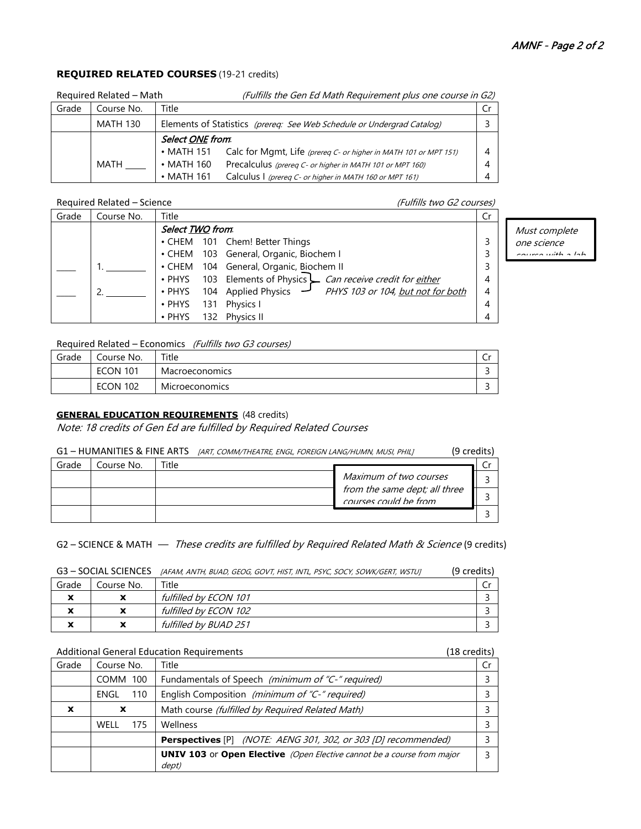## **REQUIRED RELATED COURSES** (19-21 credits)

| Required Related - Math |                                                                                           |                  | (Fulfills the Gen Ed Math Requirement plus one course in G2)     |     |
|-------------------------|-------------------------------------------------------------------------------------------|------------------|------------------------------------------------------------------|-----|
| Grade                   | Title<br>Course No.                                                                       |                  |                                                                  | Cr. |
|                         | Elements of Statistics (prereq: See Web Schedule or Undergrad Catalog)<br><b>MATH 130</b> |                  |                                                                  |     |
|                         | Select ONE from.                                                                          |                  |                                                                  |     |
|                         |                                                                                           | $\cdot$ MATH 151 | Calc for Mgmt, Life (prereq C- or higher in MATH 101 or MPT 151) | 4   |
|                         | MATH                                                                                      | $\cdot$ MATH 160 | Precalculus (prereq C- or higher in MATH 101 or MPT 160)         | 4   |
|                         |                                                                                           | $\cdot$ MATH 161 | Calculus I (prereq C- or higher in MATH 160 or MPT 161)          | 4   |

#### Required Related – Science (Fulfills two G2 courses)

Grade Course No. Title Creates and Creates and Creates and Creates and Creates and Creates and Creates and Cre  $\overline{\phantom{a}}$  $\overline{\phantom{a}}$ 1. 2. Select **TWO** from: • CHEM 101 Chem! Better Things • CHEM 103 General, Organic, Biochem I • CHEM 104 General, Organic, Biochem II • PHYS 103 Elements of Physics  $\blacktriangle$  *Can receive credit for <u>either</u>* • PHYS 104 Applied Physics PHYS 1*03 or 104, <u>but not for both</u>* • PHYS 131 Physics I • PHYS 132 Physics II 3 3 3 4 4 4 4

Must complete one science course with a lab

# Required Related – Economics (Fulfills two G3 courses)

| Grade | Course No.      | Title                 | ◡ |
|-------|-----------------|-----------------------|---|
|       | <b>ECON 101</b> | Macroeconomics        |   |
|       | <b>ECON 102</b> | <b>Microeconomics</b> |   |

# **GENERAL EDUCATION REQUIREMENTS** (48 credits)

Note: 18 credits of Gen Ed are fulfilled by Required Related Courses

| G1 - HUMANITIES & FINE ARTS <i>[ART, COMM/THEATRE, ENGL, FOREIGN LANG/HUMN, MUSI, PHIL]</i><br>(9 credits) |
|------------------------------------------------------------------------------------------------------------|
|------------------------------------------------------------------------------------------------------------|

| Grade | Course No. | Title |                                                                          |  |
|-------|------------|-------|--------------------------------------------------------------------------|--|
|       |            |       | Maximum of two courses                                                   |  |
|       |            |       | from the same dept; all three<br>$\overline{\mathit{con}}$ rand the from |  |
|       |            |       |                                                                          |  |

# G2 – SCIENCE & MATH — These credits are fulfilled by Required Related Math & Science (9 credits)

G3 – SOCIAL SCIENCES [AFAM, ANTH, BUAD, GEOG, GOVT, HIST, INTL, PSYC, SOCY, SOWK/GERT, WSTUJ (9 credits)

| Grade                                                  | Course No.                    | Title                 |  |
|--------------------------------------------------------|-------------------------------|-----------------------|--|
| v<br>́                                                 | x                             | fulfilled by ECON 101 |  |
| $\overline{\phantom{a}}$<br>́                          | $\ddot{\phantom{a}}$          | fulfilled by ECON 102 |  |
| $\overline{\phantom{a}}$<br>$\boldsymbol{\mathcal{L}}$ | v<br>$\overline{\phantom{a}}$ | fulfilled by BUAD 251 |  |

#### Additional General Education Requirements (18 credits)

| Grade                     | Course No.  | Title                                                                                  | Cr. |
|---------------------------|-------------|----------------------------------------------------------------------------------------|-----|
|                           | COMM 100    | Fundamentals of Speech (minimum of "C-" required)                                      |     |
|                           | 110<br>ENGL | English Composition (minimum of "C-" required)                                         |     |
| $\boldsymbol{\mathsf{x}}$ | X           | Math course (fulfilled by Required Related Math)                                       |     |
|                           | WELL<br>175 | Wellness                                                                               |     |
|                           |             | <b>Perspectives</b> [P] (NOTE: AENG 301, 302, or 303 [D] recommended)                  |     |
|                           |             | <b>UNIV 103</b> or Open Elective (Open Elective cannot be a course from major<br>dept) |     |